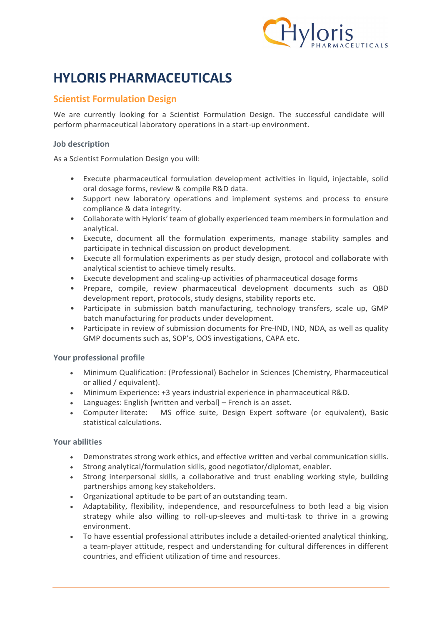

# HYLORIS PHARMACEUTICALS

## Scientist Formulation Design

We are currently looking for a Scientist Formulation Design. The successful candidate will perform pharmaceutical laboratory operations in a start-up environment.

### Job description

As a Scientist Formulation Design you will:

- Execute pharmaceutical formulation development activities in liquid, injectable, solid oral dosage forms, review & compile R&D data.
- Support new laboratory operations and implement systems and process to ensure compliance & data integrity.
- Collaborate with Hyloris' team of globally experienced team members in formulation and analytical.
- Execute, document all the formulation experiments, manage stability samples and participate in technical discussion on product development.
- Execute all formulation experiments as per study design, protocol and collaborate with analytical scientist to achieve timely results.
- Execute development and scaling-up activities of pharmaceutical dosage forms
- Prepare, compile, review pharmaceutical development documents such as QBD development report, protocols, study designs, stability reports etc.
- Participate in submission batch manufacturing, technology transfers, scale up, GMP batch manufacturing for products under development.
- Participate in review of submission documents for Pre-IND, IND, NDA, as well as quality GMP documents such as, SOP's, OOS investigations, CAPA etc.

### Your professional profile

- Minimum Qualification: (Professional) Bachelor in Sciences (Chemistry, Pharmaceutical or allied / equivalent).
- Minimum Experience: +3 years industrial experience in pharmaceutical R&D.
- Languages: English [written and verbal] French is an asset.
- Computer literate: MS office suite, Design Expert software (or equivalent), Basic statistical calculations.

#### Your abilities

- Demonstrates strong work ethics, and effective written and verbal communication skills.
- Strong analytical/formulation skills, good negotiator/diplomat, enabler.
- Strong interpersonal skills, a collaborative and trust enabling working style, building partnerships among key stakeholders.
- Organizational aptitude to be part of an outstanding team.
- Adaptability, flexibility, independence, and resourcefulness to both lead a big vision strategy while also willing to roll-up-sleeves and multi-task to thrive in a growing environment.
- To have essential professional attributes include a detailed-oriented analytical thinking, a team-player attitude, respect and understanding for cultural differences in different countries, and efficient utilization of time and resources.